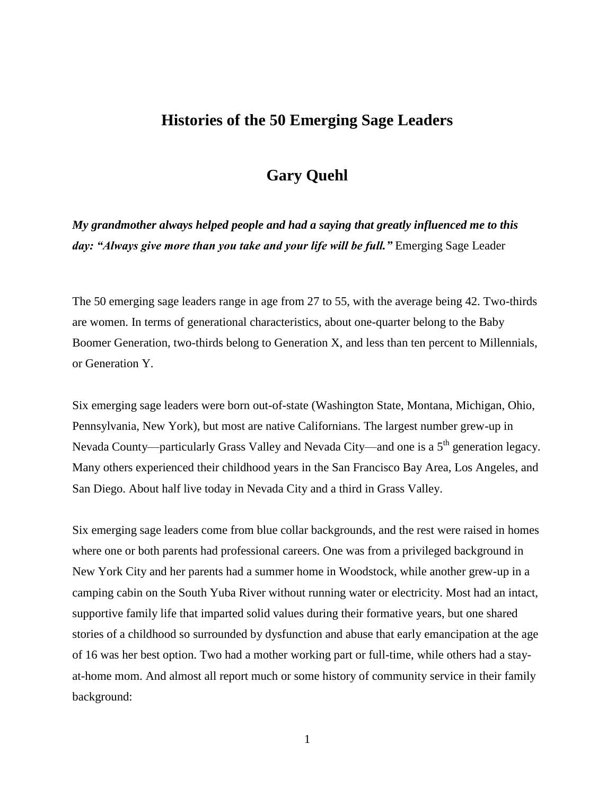## **Histories of the 50 Emerging Sage Leaders**

## **Gary Quehl**

*My grandmother always helped people and had a saying that greatly influenced me to this day: "Always give more than you take and your life will be full."* Emerging Sage Leader

The 50 emerging sage leaders range in age from 27 to 55, with the average being 42. Two-thirds are women. In terms of generational characteristics, about one-quarter belong to the Baby Boomer Generation, two-thirds belong to Generation X, and less than ten percent to Millennials, or Generation Y.

Six emerging sage leaders were born out-of-state (Washington State, Montana, Michigan, Ohio, Pennsylvania, New York), but most are native Californians. The largest number grew-up in Nevada County—particularly Grass Valley and Nevada City—and one is a 5<sup>th</sup> generation legacy. Many others experienced their childhood years in the San Francisco Bay Area, Los Angeles, and San Diego. About half live today in Nevada City and a third in Grass Valley.

Six emerging sage leaders come from blue collar backgrounds, and the rest were raised in homes where one or both parents had professional careers. One was from a privileged background in New York City and her parents had a summer home in Woodstock, while another grew-up in a camping cabin on the South Yuba River without running water or electricity. Most had an intact, supportive family life that imparted solid values during their formative years, but one shared stories of a childhood so surrounded by dysfunction and abuse that early emancipation at the age of 16 was her best option. Two had a mother working part or full-time, while others had a stayat-home mom. And almost all report much or some history of community service in their family background: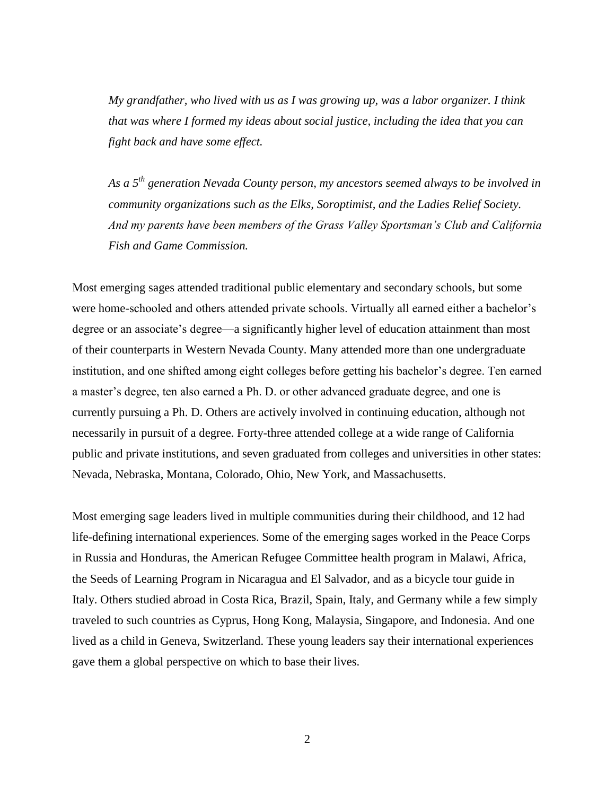*My grandfather, who lived with us as I was growing up, was a labor organizer. I think that was where I formed my ideas about social justice, including the idea that you can fight back and have some effect.* 

*As a 5th generation Nevada County person, my ancestors seemed always to be involved in community organizations such as the Elks, Soroptimist, and the Ladies Relief Society. And my parents have been members of the Grass Valley Sportsman's Club and California Fish and Game Commission.* 

Most emerging sages attended traditional public elementary and secondary schools, but some were home-schooled and others attended private schools. Virtually all earned either a bachelor's degree or an associate's degree—a significantly higher level of education attainment than most of their counterparts in Western Nevada County. Many attended more than one undergraduate institution, and one shifted among eight colleges before getting his bachelor's degree. Ten earned a master's degree, ten also earned a Ph. D. or other advanced graduate degree, and one is currently pursuing a Ph. D. Others are actively involved in continuing education, although not necessarily in pursuit of a degree. Forty-three attended college at a wide range of California public and private institutions, and seven graduated from colleges and universities in other states: Nevada, Nebraska, Montana, Colorado, Ohio, New York, and Massachusetts.

Most emerging sage leaders lived in multiple communities during their childhood, and 12 had life-defining international experiences. Some of the emerging sages worked in the Peace Corps in Russia and Honduras, the American Refugee Committee health program in Malawi, Africa, the Seeds of Learning Program in Nicaragua and El Salvador, and as a bicycle tour guide in Italy. Others studied abroad in Costa Rica, Brazil, Spain, Italy, and Germany while a few simply traveled to such countries as Cyprus, Hong Kong, Malaysia, Singapore, and Indonesia. And one lived as a child in Geneva, Switzerland. These young leaders say their international experiences gave them a global perspective on which to base their lives.

2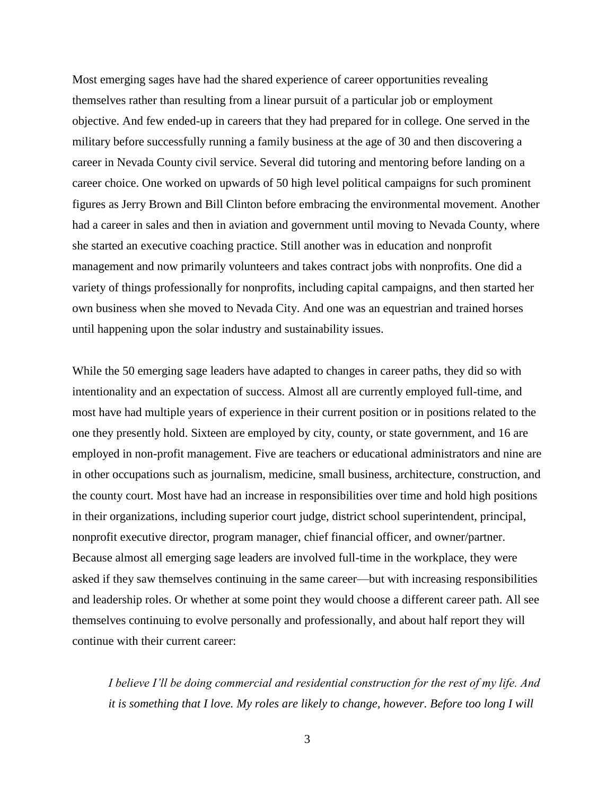Most emerging sages have had the shared experience of career opportunities revealing themselves rather than resulting from a linear pursuit of a particular job or employment objective. And few ended-up in careers that they had prepared for in college. One served in the military before successfully running a family business at the age of 30 and then discovering a career in Nevada County civil service. Several did tutoring and mentoring before landing on a career choice. One worked on upwards of 50 high level political campaigns for such prominent figures as Jerry Brown and Bill Clinton before embracing the environmental movement. Another had a career in sales and then in aviation and government until moving to Nevada County, where she started an executive coaching practice. Still another was in education and nonprofit management and now primarily volunteers and takes contract jobs with nonprofits. One did a variety of things professionally for nonprofits, including capital campaigns, and then started her own business when she moved to Nevada City. And one was an equestrian and trained horses until happening upon the solar industry and sustainability issues.

While the 50 emerging sage leaders have adapted to changes in career paths, they did so with intentionality and an expectation of success. Almost all are currently employed full-time, and most have had multiple years of experience in their current position or in positions related to the one they presently hold. Sixteen are employed by city, county, or state government, and 16 are employed in non-profit management. Five are teachers or educational administrators and nine are in other occupations such as journalism, medicine, small business, architecture, construction, and the county court. Most have had an increase in responsibilities over time and hold high positions in their organizations, including superior court judge, district school superintendent, principal, nonprofit executive director, program manager, chief financial officer, and owner/partner. Because almost all emerging sage leaders are involved full-time in the workplace, they were asked if they saw themselves continuing in the same career—but with increasing responsibilities and leadership roles. Or whether at some point they would choose a different career path. All see themselves continuing to evolve personally and professionally, and about half report they will continue with their current career:

*I believe I'll be doing commercial and residential construction for the rest of my life. And it is something that I love. My roles are likely to change, however. Before too long I will*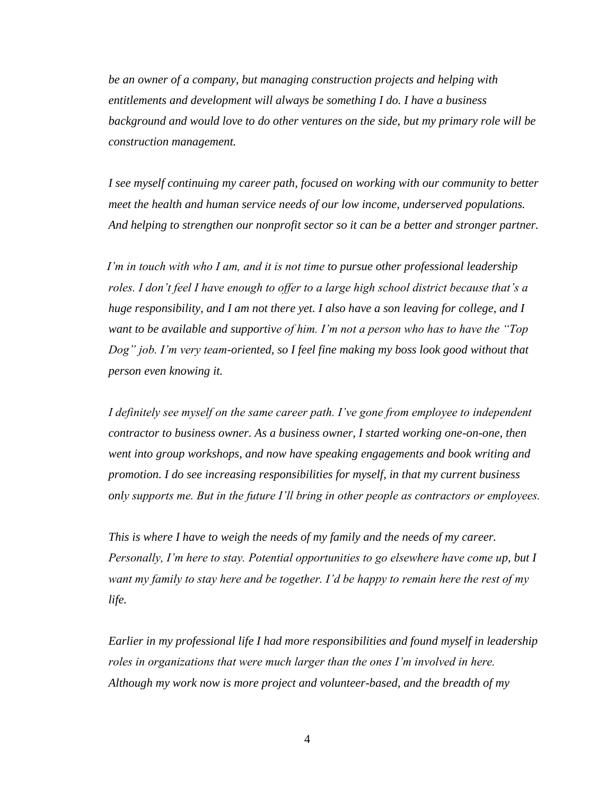*be an owner of a company, but managing construction projects and helping with entitlements and development will always be something I do. I have a business background and would love to do other ventures on the side, but my primary role will be construction management.* 

*I see myself continuing my career path, focused on working with our community to better meet the health and human service needs of our low income, underserved populations. And helping to strengthen our nonprofit sector so it can be a better and stronger partner.* 

*I'm in touch with who I am, and it is not time to pursue other professional leadership roles. I don't feel I have enough to offer to a large high school district because that's a huge responsibility, and I am not there yet. I also have a son leaving for college, and I want to be available and supportive of him. I'm not a person who has to have the "Top Dog" job. I'm very team-oriented, so I feel fine making my boss look good without that person even knowing it.* 

*I definitely see myself on the same career path. I've gone from employee to independent contractor to business owner. As a business owner, I started working one-on-one, then went into group workshops, and now have speaking engagements and book writing and promotion. I do see increasing responsibilities for myself, in that my current business only supports me. But in the future I'll bring in other people as contractors or employees.* 

*This is where I have to weigh the needs of my family and the needs of my career. Personally, I'm here to stay. Potential opportunities to go elsewhere have come up, but I want my family to stay here and be together. I'd be happy to remain here the rest of my life.* 

*Earlier in my professional life I had more responsibilities and found myself in leadership roles in organizations that were much larger than the ones I'm involved in here. Although my work now is more project and volunteer-based, and the breadth of my*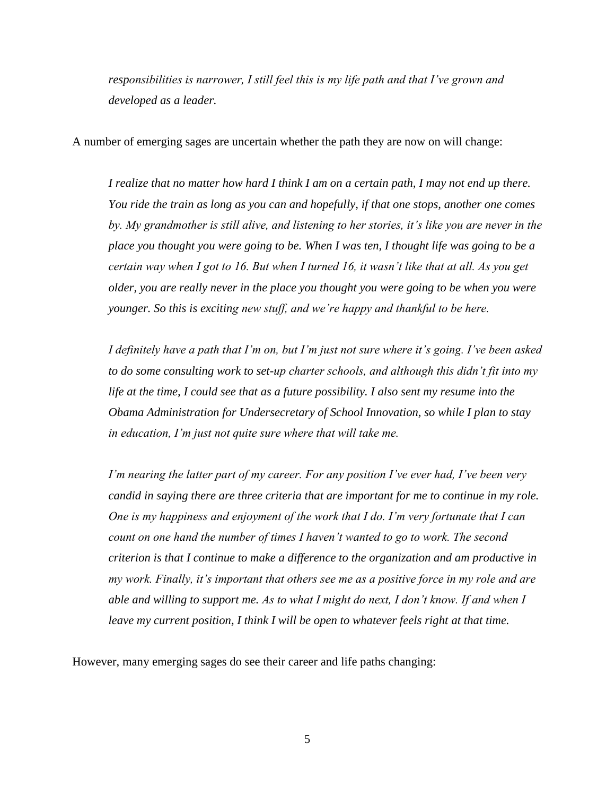*responsibilities is narrower, I still feel this is my life path and that I've grown and developed as a leader.* 

A number of emerging sages are uncertain whether the path they are now on will change:

*I realize that no matter how hard I think I am on a certain path, I may not end up there. You ride the train as long as you can and hopefully, if that one stops, another one comes by. My grandmother is still alive, and listening to her stories, it's like you are never in the place you thought you were going to be. When I was ten, I thought life was going to be a certain way when I got to 16. But when I turned 16, it wasn't like that at all. As you get older, you are really never in the place you thought you were going to be when you were younger. So this is exciting new stuff, and we're happy and thankful to be here.* 

*I definitely have a path that I'm on, but I'm just not sure where it's going. I've been asked to do some consulting work to set-up charter schools, and although this didn't fit into my life at the time, I could see that as a future possibility. I also sent my resume into the Obama Administration for Undersecretary of School Innovation, so while I plan to stay in education, I'm just not quite sure where that will take me.* 

*I'm nearing the latter part of my career. For any position I've ever had, I've been very candid in saying there are three criteria that are important for me to continue in my role. One is my happiness and enjoyment of the work that I do. I'm very fortunate that I can count on one hand the number of times I haven't wanted to go to work. The second criterion is that I continue to make a difference to the organization and am productive in my work. Finally, it's important that others see me as a positive force in my role and are able and willing to support me. As to what I might do next, I don't know. If and when I leave my current position, I think I will be open to whatever feels right at that time.* 

However, many emerging sages do see their career and life paths changing:

5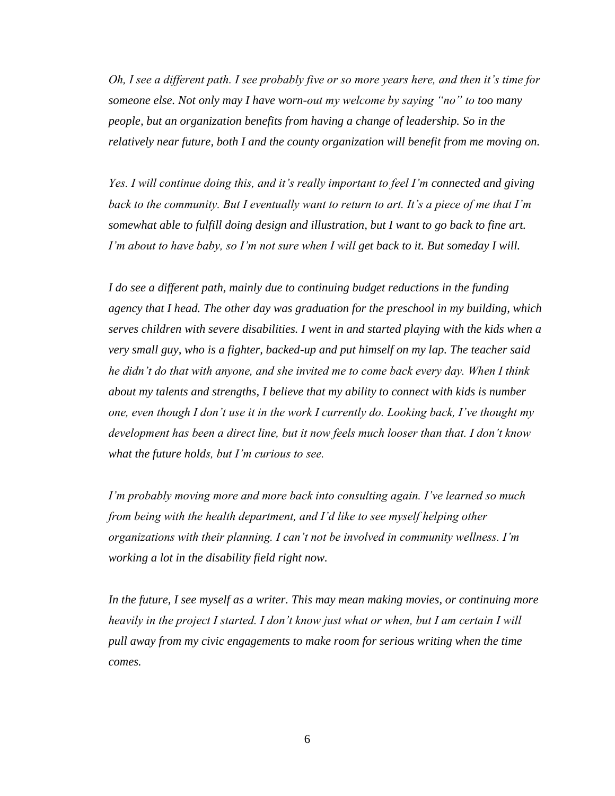*Oh, I see a different path. I see probably five or so more years here, and then it's time for someone else. Not only may I have worn-out my welcome by saying "no" to too many people, but an organization benefits from having a change of leadership. So in the relatively near future, both I and the county organization will benefit from me moving on.* 

*Yes. I will continue doing this, and it's really important to feel I'm connected and giving back to the community. But I eventually want to return to art. It's a piece of me that I'm somewhat able to fulfill doing design and illustration, but I want to go back to fine art. I'm about to have baby, so I'm not sure when I will get back to it. But someday I will.* 

*I do see a different path, mainly due to continuing budget reductions in the funding agency that I head. The other day was graduation for the preschool in my building, which serves children with severe disabilities. I went in and started playing with the kids when a very small guy, who is a fighter, backed-up and put himself on my lap. The teacher said he didn't do that with anyone, and she invited me to come back every day. When I think about my talents and strengths, I believe that my ability to connect with kids is number one, even though I don't use it in the work I currently do. Looking back, I've thought my development has been a direct line, but it now feels much looser than that. I don't know what the future holds, but I'm curious to see.* 

*I'm probably moving more and more back into consulting again. I've learned so much from being with the health department, and I'd like to see myself helping other organizations with their planning. I can't not be involved in community wellness. I'm working a lot in the disability field right now.* 

*In the future, I see myself as a writer. This may mean making movies, or continuing more heavily in the project I started. I don't know just what or when, but I am certain I will pull away from my civic engagements to make room for serious writing when the time comes.*